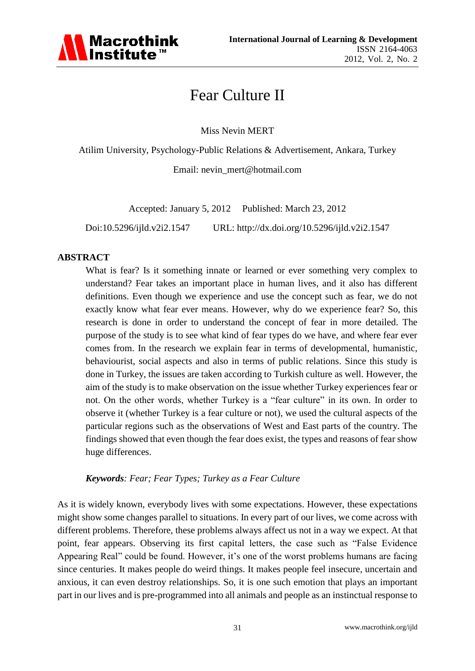

# Fear Culture II

Miss Nevin MERT

Atilim University, Psychology-Public Relations & Advertisement, Ankara, Turkey

Email: nevin\_mert@hotmail.com

Accepted: January 5, 2012 Published: March 23, 2012 Doi:10.5296/ijld.v2i2.1547 URL: http://dx.doi.org/10.5296/ijld.v2i2.1547

#### **ABSTRACT**

What is fear? Is it something innate or learned or ever something very complex to understand? Fear takes an important place in human lives, and it also has different definitions. Even though we experience and use the concept such as fear, we do not exactly know what fear ever means. However, why do we experience fear? So, this research is done in order to understand the concept of fear in more detailed. The purpose of the study is to see what kind of fear types do we have, and where fear ever comes from. In the research we explain fear in terms of developmental, humanistic, behaviourist, social aspects and also in terms of public relations. Since this study is done in Turkey, the issues are taken according to Turkish culture as well. However, the aim of the study is to make observation on the issue whether Turkey experiences fear or not. On the other words, whether Turkey is a "fear culture" in its own. In order to observe it (whether Turkey is a fear culture or not), we used the cultural aspects of the particular regions such as the observations of West and East parts of the country. The findings showed that even though the fear does exist, the types and reasons of fear show huge differences.

#### *Keywords: Fear; Fear Types; Turkey as a Fear Culture*

As it is widely known, everybody lives with some expectations. However, these expectations might show some changes parallel to situations. In every part of our lives, we come across with different problems. Therefore, these problems always affect us not in a way we expect. At that point, fear appears. Observing its first capital letters, the case such as "False Evidence Appearing Real" could be found. However, it's one of the worst problems humans are facing since centuries. It makes people do weird things. It makes people feel insecure, uncertain and anxious, it can even destroy relationships. So, it is one such emotion that plays an important part in our lives and is pre-programmed into all animals and people as an instinctual response to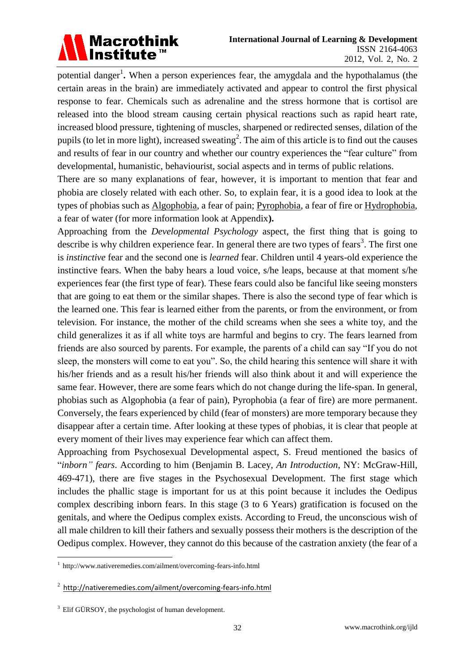# Macrothink<br>Institute™

potential danger<sup>1</sup>. When a person experiences fear, the amygdala and the hypothalamus (the certain areas in the brain) are immediately activated and appear to control the first physical response to fear. Chemicals such as adrenaline and the stress hormone that is cortisol are released into the blood stream causing certain physical reactions such as rapid heart rate, increased blood pressure, tightening of muscles, sharpened or redirected senses, dilation of the pupils (to let in more light), increased sweating<sup>2</sup>. The aim of this article is to find out the causes and results of fear in our country and whether our country experiences the "fear culture" from developmental, humanistic, behaviourist, social aspects and in terms of public relations.

There are so many explanations of fear, however, it is important to mention that fear and phobia are closely related with each other. So, to explain fear, it is a good idea to look at the types of phobias such as [Algophobia,](http://en.wikipedia.org/wiki/Algophobia) a fear of pain; [Pyrophobia,](http://en.wikipedia.org/wiki/Pyrophobia) a fear of fire or [Hydrophobia,](http://en.wikipedia.org/wiki/Rabies) a fear of water (for more information look at Appendix**).**

Approaching from the *Developmental Psychology* aspect, the first thing that is going to describe is why children experience fear. In general there are two types of fears<sup>3</sup>. The first one is *instinctive* fear and the second one is *learned* fear. Children until 4 years-old experience the instinctive fears. When the baby hears a loud voice, s/he leaps, because at that moment s/he experiences fear (the first type of fear). These fears could also be fanciful like seeing monsters that are going to eat them or the similar shapes. There is also the second type of fear which is the learned one. This fear is learned either from the parents, or from the environment, or from television. For instance, the mother of the child screams when she sees a white toy, and the child generalizes it as if all white toys are harmful and begins to cry. The fears learned from friends are also sourced by parents. For example, the parents of a child can say "If you do not sleep, the monsters will come to eat you". So, the child hearing this sentence will share it with his/her friends and as a result his/her friends will also think about it and will experience the same fear. However, there are some fears which do not change during the life-span. In general, phobias such as Algophobia (a fear of pain), Pyrophobia (a fear of fire) are more permanent. Conversely, the fears experienced by child (fear of monsters) are more temporary because they disappear after a certain time. After looking at these types of phobias, it is clear that people at every moment of their lives may experience fear which can affect them.

Approaching from Psychosexual Developmental aspect, S. Freud mentioned the basics of "*inborn" fears*. According to him (Benjamin B. Lacey, *An Introduction*, NY: McGraw-Hill, 469-471), there are five stages in the Psychosexual Development. The first stage which includes the phallic stage is important for us at this point because it includes the Oedipus complex describing inborn fears. In this stage (3 to 6 Years) gratification is focused on the genitals, and where the Oedipus complex exists. According to Freud, the unconscious wish of all male children to kill their fathers and sexually possess their mothers is the description of the Oedipus complex. However, they cannot do this because of the castration anxiety (the fear of a

1

<sup>1</sup> http://www.nativeremedies.com/ailment/overcoming-fears-info.html

<sup>&</sup>lt;sup>2</sup> <http://nativeremedies.com/ailment/overcoming-fears-info.html>

<sup>&</sup>lt;sup>3</sup> Elif GÜRSOY, the psychologist of human development.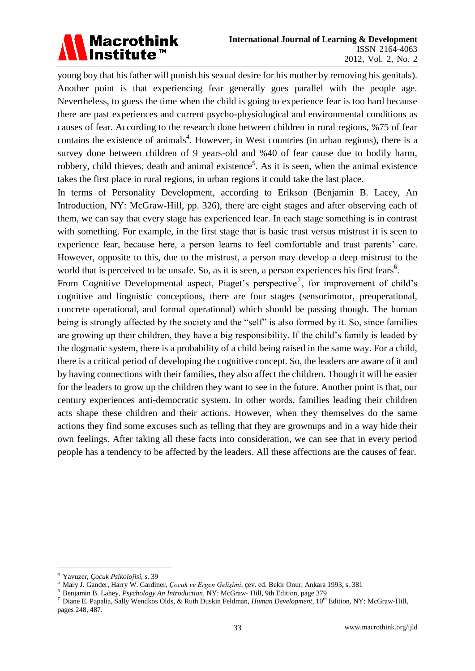

young boy that his father will punish his sexual desire for his mother by removing his genitals). Another point is that experiencing fear generally goes parallel with the people age. Nevertheless, to guess the time when the child is going to experience fear is too hard because there are past experiences and current psycho-physiological and environmental conditions as causes of fear. According to the research done between children in rural regions, %75 of fear contains the existence of animals<sup>4</sup>. However, in West countries (in urban regions), there is a survey done between children of 9 years-old and %40 of fear cause due to bodily harm, robbery, child thieves, death and animal existence<sup>5</sup>. As it is seen, when the animal existence takes the first place in rural regions, in urban regions it could take the last place.

In terms of Personality Development, according to Erikson (Benjamin B. Lacey, An Introduction, NY: McGraw-Hill, pp. 326), there are eight stages and after observing each of them, we can say that every stage has experienced fear. In each stage something is in contrast with something. For example, in the first stage that is basic trust versus mistrust it is seen to experience fear, because here, a person learns to feel comfortable and trust parents' care. However, opposite to this, due to the mistrust, a person may develop a deep mistrust to the world that is perceived to be unsafe. So, as it is seen, a person experiences his first fears<sup>6</sup>.

From Cognitive Developmental aspect, Piaget's perspective<sup>7</sup>, for improvement of child's cognitive and linguistic conceptions, there are four stages (sensorimotor, preoperational, concrete operational, and formal operational) which should be passing though. The human being is strongly affected by the society and the "self" is also formed by it. So, since families are growing up their children, they have a big responsibility. If the child's family is leaded by the dogmatic system, there is a probability of a child being raised in the same way. For a child, there is a critical period of developing the cognitive concept. So, the leaders are aware of it and by having connections with their families, they also affect the children. Though it will be easier for the leaders to grow up the children they want to see in the future. Another point is that, our century experiences anti-democratic system. In other words, families leading their children acts shape these children and their actions. However, when they themselves do the same actions they find some excuses such as telling that they are grownups and in a way hide their own feelings. After taking all these facts into consideration, we can see that in every period people has a tendency to be affected by the leaders. All these affections are the causes of fear.

1

<sup>4</sup> Yavuzer, *Çocuk Psikolojisi*, s. 39

<sup>5</sup> Mary J. Gander, Harry W. Gardiner, *Çocuk ve Ergen Gelişimi*, çev. ed. Bekir Onur, Ankara 1993, s. 381

<sup>6</sup> Benjamin B. Lahey, *Psychology An Introduction*, NY: McGraw- Hill, 9th Edition, page 379

<sup>7</sup> Diane E. Papalia, Sally Wendkos Olds, & Ruth Duskin Feldman, *Human Development*, 10th Edition, NY: McGraw-Hill, pages 248, 487.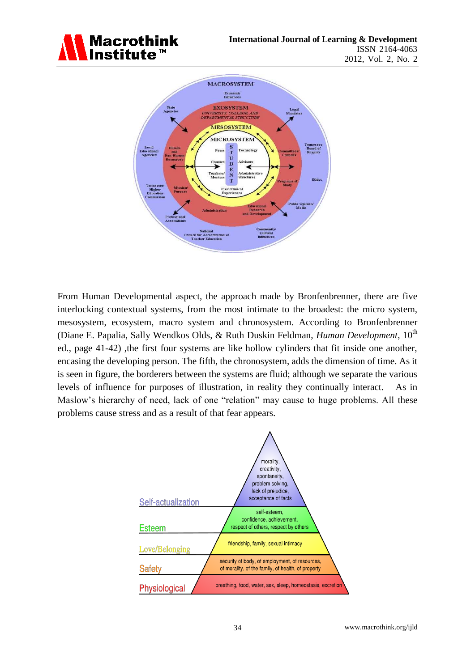



From Human Developmental aspect, the approach made by Bronfenbrenner, there are five interlocking contextual systems, from the most intimate to the broadest: the micro system, mesosystem, ecosystem, macro system and chronosystem. According to Bronfenbrenner (Diane E. Papalia, Sally Wendkos Olds, & Ruth Duskin Feldman, *Human Development*, 10<sup>th</sup> ed., page 41-42), the first four systems are like hollow cylinders that fit inside one another, encasing the developing person. The fifth, the chronosystem, adds the dimension of time. As it is seen in figure, the borderers between the systems are fluid; although we separate the various levels of influence for purposes of illustration, in reality they continually interact. As in Maslow's hierarchy of need, lack of one "relation" may cause to huge problems. All these problems cause stress and as a result of that fear appears.

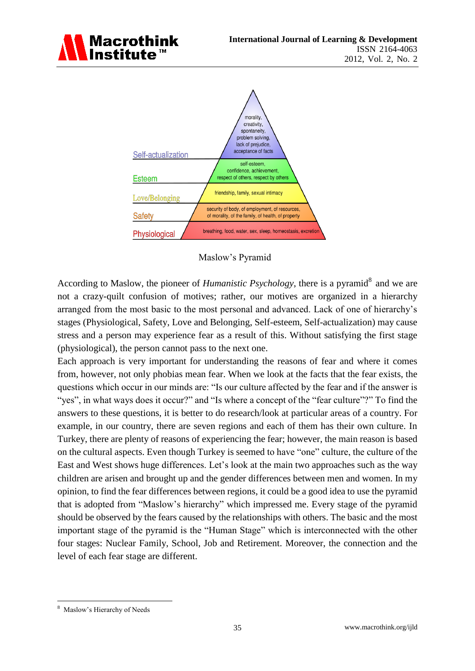



Maslow's Pyramid

According to Maslow, the pioneer of *Humanistic Psychology*, there is a pyramid<sup>8</sup> and we are not a crazy-quilt confusion of motives; rather, our motives are organized in a hierarchy arranged from the most basic to the most personal and advanced. Lack of one of hierarchy's stages (Physiological, Safety, Love and Belonging, Self-esteem, Self-actualization) may cause stress and a person may experience fear as a result of this. Without satisfying the first stage (physiological), the person cannot pass to the next one.

Each approach is very important for understanding the reasons of fear and where it comes from, however, not only phobias mean fear. When we look at the facts that the fear exists, the questions which occur in our minds are: "Is our culture affected by the fear and if the answer is "yes", in what ways does it occur?" and "Is where a concept of the "fear culture"?" To find the answers to these questions, it is better to do research/look at particular areas of a country. For example, in our country, there are seven regions and each of them has their own culture. In Turkey, there are plenty of reasons of experiencing the fear; however, the main reason is based on the cultural aspects. Even though Turkey is seemed to have "one" culture, the culture of the East and West shows huge differences. Let's look at the main two approaches such as the way children are arisen and brought up and the gender differences between men and women. In my opinion, to find the fear differences between regions, it could be a good idea to use the pyramid that is adopted from "Maslow's hierarchy" which impressed me. Every stage of the pyramid should be observed by the fears caused by the relationships with others. The basic and the most important stage of the pyramid is the "Human Stage" which is interconnected with the other four stages: Nuclear Family, School, Job and Retirement. Moreover, the connection and the level of each fear stage are different.

<sup>1</sup> <sup>8</sup> Maslow's Hierarchy of Needs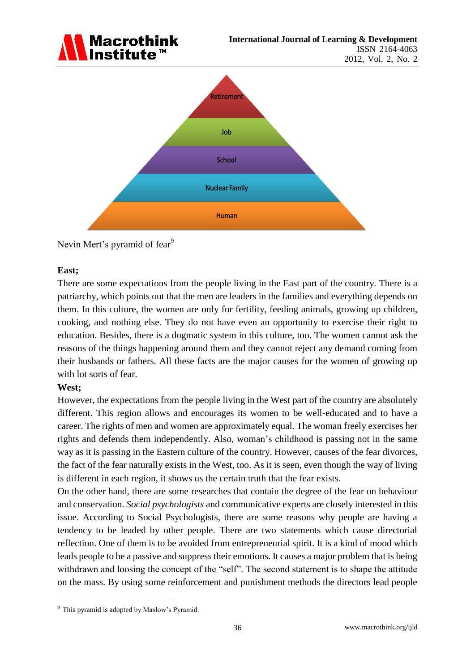



Nevin Mert's pyramid of fear<sup>9</sup>

### **East;**

There are some expectations from the people living in the East part of the country. There is a patriarchy, which points out that the men are leaders in the families and everything depends on them. In this culture, the women are only for fertility, feeding animals, growing up children, cooking, and nothing else. They do not have even an opportunity to exercise their right to education. Besides, there is a dogmatic system in this culture, too. The women cannot ask the reasons of the things happening around them and they cannot reject any demand coming from their husbands or fathers. All these facts are the major causes for the women of growing up with lot sorts of fear.

# **West;**

However, the expectations from the people living in the West part of the country are absolutely different. This region allows and encourages its women to be well-educated and to have a career. The rights of men and women are approximately equal. The woman freely exercises her rights and defends them independently. Also, woman's childhood is passing not in the same way as it is passing in the Eastern culture of the country. However, causes of the fear divorces, the fact of the fear naturally exists in the West, too. As it is seen, even though the way of living is different in each region, it shows us the certain truth that the fear exists.

On the other hand, there are some researches that contain the degree of the fear on behaviour and conservation. *Social psychologists* and communicative experts are closely interested in this issue. According to Social Psychologists, there are some reasons why people are having a tendency to be leaded by other people. There are two statements which cause directorial reflection. One of them is to be avoided from entrepreneurial spirit. It is a kind of mood which leads people to be a passive and suppress their emotions. It causes a major problem that is being withdrawn and loosing the concept of the "self". The second statement is to shape the attitude on the mass. By using some reinforcement and punishment methods the directors lead people

<sup>1</sup> <sup>9</sup> This pyramid is adopted by Maslow's Pyramid.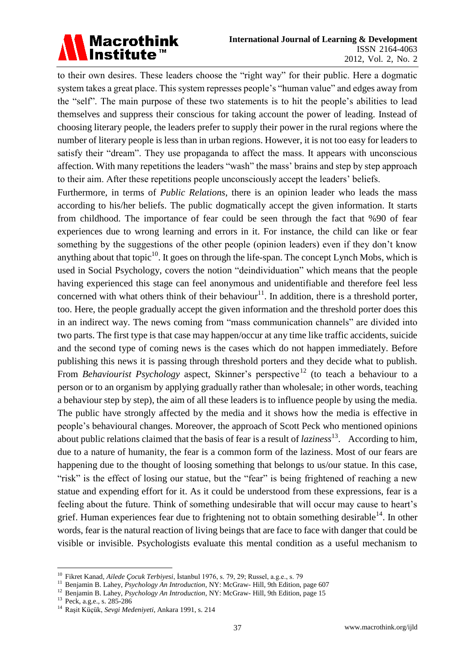

to their own desires. These leaders choose the "right way" for their public. Here a dogmatic system takes a great place. This system represses people's "human value" and edges away from the "self". The main purpose of these two statements is to hit the people's abilities to lead themselves and suppress their conscious for taking account the power of leading. Instead of choosing literary people, the leaders prefer to supply their power in the rural regions where the number of literary people is less than in urban regions. However, it is not too easy for leaders to satisfy their "dream". They use propaganda to affect the mass. It appears with unconscious affection. With many repetitions the leaders "wash" the mass' brains and step by step approach to their aim. After these repetitions people unconsciously accept the leaders' beliefs.

Furthermore, in terms of *Public Relations*, there is an opinion leader who leads the mass according to his/her beliefs. The public dogmatically accept the given information. It starts from childhood. The importance of fear could be seen through the fact that %90 of fear experiences due to wrong learning and errors in it. For instance, the child can like or fear something by the suggestions of the other people (opinion leaders) even if they don't know anything about that topic<sup>10</sup>. It goes on through the life-span. The concept Lynch Mobs, which is used in Social Psychology, covers the notion "deindividuation" which means that the people having experienced this stage can feel anonymous and unidentifiable and therefore feel less concerned with what others think of their behaviour<sup>11</sup>. In addition, there is a threshold porter, too. Here, the people gradually accept the given information and the threshold porter does this in an indirect way. The news coming from "mass communication channels" are divided into two parts. The first type is that case may happen/occur at any time like traffic accidents, suicide and the second type of coming news is the cases which do not happen immediately. Before publishing this news it is passing through threshold porters and they decide what to publish. From *Behaviourist Psychology* aspect, Skinner's perspective<sup>12</sup> (to teach a behaviour to a person or to an organism by applying gradually rather than wholesale; in other words, teaching a behaviour step by step), the aim of all these leaders is to influence people by using the media. The public have strongly affected by the media and it shows how the media is effective in people's behavioural changes. Moreover, the approach of Scott Peck who mentioned opinions about public relations claimed that the basis of fear is a result of *laziness*<sup>13</sup>. According to him, due to a nature of humanity, the fear is a common form of the laziness. Most of our fears are happening due to the thought of loosing something that belongs to us/our statue. In this case, "risk" is the effect of losing our statue, but the "fear" is being frightened of reaching a new statue and expending effort for it. As it could be understood from these expressions, fear is a feeling about the future. Think of something undesirable that will occur may cause to heart's grief. Human experiences fear due to frightening not to obtain something desirable $^{14}$ . In other words, fear is the natural reaction of living beings that are face to face with danger that could be visible or invisible. Psychologists evaluate this mental condition as a useful mechanism to

1

<sup>&</sup>lt;sup>10</sup> Fikret Kanad, *Ailede Çocuk Terbiyesi*, İstanbul 1976, s. 79, 29; Russel, a.g.e., s. 79

<sup>&</sup>lt;sup>11</sup> Benjamin B. Lahey, *Psychology An Introduction*, NY: McGraw- Hill, 9th Edition, page 607

<sup>&</sup>lt;sup>12</sup> Benjamin B. Lahey, *Psychology An Introduction*, NY: McGraw- Hill, 9th Edition, page 15

<sup>13</sup> Peck, a.g.e., s. 285-286

<sup>14</sup> Raşit Küçük, *Sevgi Medeniyeti*, Ankara 1991, s. 214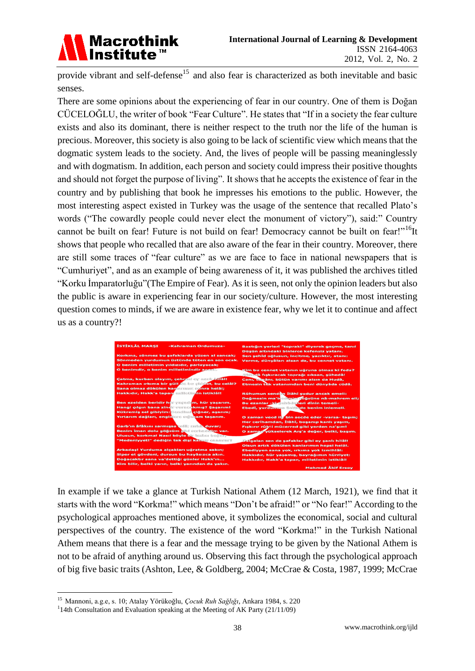

provide vibrant and self-defense<sup>15</sup> and also fear is characterized as both inevitable and basic senses.

There are some opinions about the experiencing of fear in our country. One of them is Doğan CÜCELOĞLU, the writer of book "Fear Culture". He states that "If in a society the fear culture exists and also its dominant, there is neither respect to the truth nor the life of the human is precious. Moreover, this society is also going to be lack of scientific view which means that the dogmatic system leads to the society. And, the lives of people will be passing meaninglessly and with dogmatism. In addition, each person and society could impress their positive thoughts and should not forget the purpose of living". It shows that he accepts the existence of fear in the country and by publishing that book he impresses his emotions to the public. However, the most interesting aspect existed in Turkey was the usage of the sentence that recalled Plato's words ("The cowardly people could never elect the monument of victory"), said:" Country cannot be built on fear! Future is not build on fear! Democracy cannot be built on fear!"<sup>16</sup>It shows that people who recalled that are also aware of the fear in their country. Moreover, there are still some traces of "fear culture" as we are face to face in national newspapers that is "Cumhuriyet", and as an example of being awareness of it, it was published the archives titled "Korku İmparatorluğu" (The Empire of Fear). As it is seen, not only the opinion leaders but also the public is aware in experiencing fear in our society/culture. However, the most interesting question comes to minds, if we are aware in existence fear, why we let it to continue and affect us as a country?!



In example if we take a glance at Turkish National Athem (12 March, 1921), we find that it starts with the word "Korkma!" which means "Don't be afraid!" or "No fear!" According to the psychological approaches mentioned above, it symbolizes the economical, social and cultural perspectives of the country. The existence of the word "Korkma!" in the Turkish National Athem means that there is a fear and the message trying to be given by the National Athem is not to be afraid of anything around us. Observing this fact through the psychological approach of big five basic traits (Ashton, Lee, & Goldberg, 2004; McCrae & Costa, 1987, 1999; McCrae

<sup>&</sup>lt;u>.</u> <sup>15</sup> Mannoni, a.g.e, s. 10; Atalay Yörükoğlu, *Çocuk Ruh Sağlığı*, Ankara 1984, s. 220

<sup>&</sup>lt;sup>1</sup>14th Consultation and Evaluation speaking at the Meeting of AK Party (21/11/09)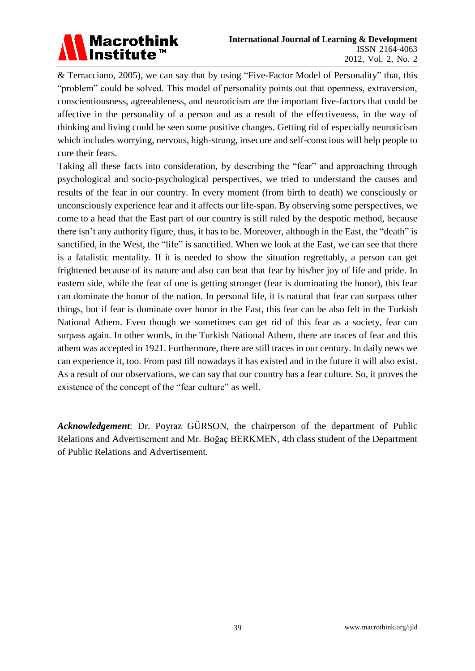

& Terracciano, 2005), we can say that by using "Five-Factor Model of Personality" that, this "problem" could be solved. This model of personality points out that openness, extraversion, conscientiousness, agreeableness, and neuroticism are the important five-factors that could be affective in the personality of a person and as a result of the effectiveness, in the way of thinking and living could be seen some positive changes. Getting rid of especially neuroticism which includes worrying, nervous, high-strung, insecure and self-conscious will help people to cure their fears.

Taking all these facts into consideration, by describing the "fear" and approaching through psychological and socio-psychological perspectives, we tried to understand the causes and results of the fear in our country. In every moment (from birth to death) we consciously or unconsciously experience fear and it affects our life-span. By observing some perspectives, we come to a head that the East part of our country is still ruled by the despotic method, because there isn't any authority figure, thus, it has to be. Moreover, although in the East, the "death" is sanctified, in the West, the "life" is sanctified. When we look at the East, we can see that there is a fatalistic mentality. If it is needed to show the situation regrettably, a person can get frightened because of its nature and also can beat that fear by his/her joy of life and pride. In eastern side, while the fear of one is getting stronger (fear is dominating the honor), this fear can dominate the honor of the nation. In personal life, it is natural that fear can surpass other things, but if fear is dominate over honor in the East, this fear can be also felt in the Turkish National Athem. Even though we sometimes can get rid of this fear as a society, fear can surpass again. In other words, in the Turkish National Athem, there are traces of fear and this athem was accepted in 1921. Furthermore, there are still traces in our century. In daily news we can experience it, too. From past till nowadays it has existed and in the future it will also exist. As a result of our observations, we can say that our country has a fear culture. So, it proves the existence of the concept of the "fear culture" as well.

*Acknowledgement*: Dr. Poyraz GÜRSON, the chairperson of the department of Public Relations and Advertisement and Mr. Boğaç BERKMEN, 4th class student of the Department of Public Relations and Advertisement.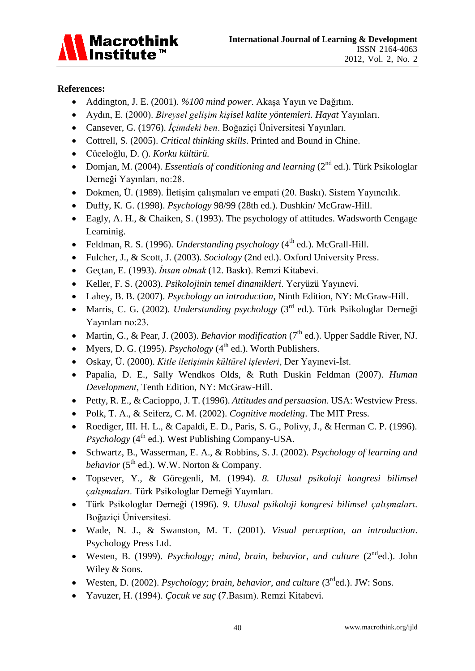

### **References:**

- Addington, J. E. (2001). *%100 mind power*. Akaşa Yayın ve Dağıtım.
- Aydın, E. (2000). *Bireysel gelişim kişisel kalite yöntemleri. Hayat* Yayınları.
- Cansever, G. (1976). *İçimdeki ben*. Boğaziçi Üniversitesi Yayınları.
- Cottrell, S. (2005). *Critical thinking skills*. Printed and Bound in Chine.
- Cüceloğlu, D. (). *Korku kültürü.*
- Domjan, M. (2004). *Essentials of conditioning and learning* (2<sup>nd</sup> ed.). Türk Psikologlar Derneği Yayınları, no:28.
- Dokmen, Ü. (1989). İletişim çalışmaları ve empati (20. Baskı). Sistem Yayıncılık.
- Duffy, K. G. (1998). *Psychology* 98/99 (28th ed.). Dushkin/ McGraw-Hill.
- Eagly, A. H., & Chaiken, S. (1993). The psychology of attitudes. Wadsworth Cengage Learninig.
- Feldman, R. S. (1996). *Understanding psychology* ( $4<sup>th</sup>$  ed.). McGrall-Hill.
- Fulcher, J., & Scott, J. (2003). *Sociology* (2nd ed.). Oxford University Press.
- Geçtan, E. (1993). *İnsan olmak* (12. Baskı). Remzi Kitabevi.
- Keller, F. S. (2003). *Psikolojinin temel dinamikleri*. Yeryüzü Yayınevi.
- Lahey, B. B. (2007). *Psychology an introduction*, Ninth Edition, NY: McGraw-Hill.
- Marris, C. G. (2002). *Understanding psychology* (3rd ed.). Türk Psikologlar Derneği Yayınları no:23.
- Martin, G., & Pear, J. (2003). *Behavior modification* ( $7<sup>th</sup>$  ed.). Upper Saddle River, NJ.
- Myers, D. G. (1995). *Psychology* ( $4<sup>th</sup>$  ed.). Worth Publishers.
- Oskay, Ü. (2000). *Kitle iletişimin kültürel işlevleri*, Der Yayınevi-İst.
- Papalia, D. E., Sally Wendkos Olds, & Ruth Duskin Feldman (2007). *Human Development*, Tenth Edition, NY: McGraw-Hill.
- Petty, R. E., & Cacioppo, J. T. (1996). *Attitudes and persuasion*. USA: Westview Press.
- Polk, T. A., & Seiferz, C. M. (2002). *Cognitive modeling*. The MIT Press.
- Roediger, III. H. L., & Capaldi, E. D., Paris, S. G., Polivy, J., & Herman C. P. (1996). *Psychology* (4<sup>th</sup> ed.). West Publishing Company-USA.
- Schwartz, B., Wasserman, E. A., & Robbins, S. J. (2002). *Psychology of learning and behavior* ( $5<sup>th</sup>$  ed.). W.W. Norton & Company.
- Topsever, Y., & Göregenli, M. (1994). *8. Ulusal psikoloji kongresi bilimsel çalışmaları*. Türk Psikologlar Derneği Yayınları.
- Türk Psikologlar Derneği (1996). *9. Ulusal psikoloji kongresi bilimsel çalışmaları*. Boğaziçi Üniversitesi.
- Wade, N. J., & Swanston, M. T. (2001). *Visual perception, an introduction*. Psychology Press Ltd.
- Westen, B. (1999). *Psychology; mind, brain, behavior, and culture* (2<sup>nd</sup>ed.). John Wiley & Sons.
- Westen, D. (2002). *Psychology; brain, behavior, and culture* (3rded.). JW: Sons.
- Yavuzer, H. (1994). *Çocuk ve suç* (7.Basım). Remzi Kitabevi.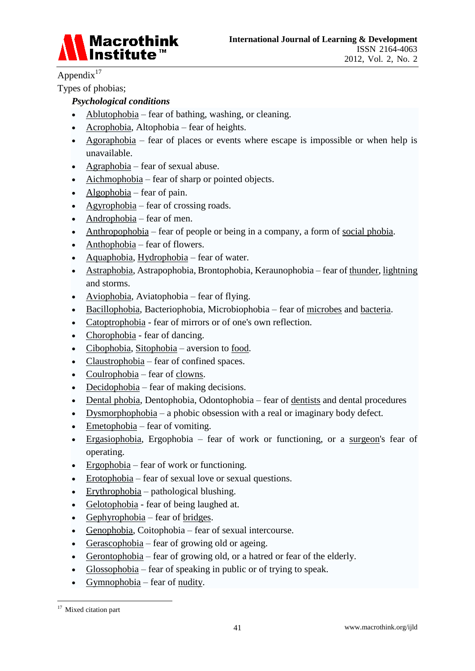

# Appendix $17$

Types of phobias;

# *Psychological conditions*

- [Ablutophobia](http://en.wikipedia.org/wiki/Ablutophobia) fear of bathing, washing, or cleaning.
- [Acrophobia,](http://en.wikipedia.org/wiki/Acrophobia) Altophobia fear of heights.
- [Agoraphobia](http://en.wikipedia.org/wiki/Agoraphobia) fear of places or events where escape is impossible or when help is unavailable.
- [Agraphobia](http://en.wikipedia.org/wiki/Agraphobia) fear of sexual abuse.
- [Aichmophobia](http://en.wikipedia.org/wiki/Aichmophobia) fear of sharp or pointed objects.
- [Algophobia](http://en.wikipedia.org/wiki/Algophobia) fear of pain.
- [Agyrophobia](http://en.wikipedia.org/wiki/Agyrophobia) fear of crossing roads.
- [Androphobia](http://en.wikipedia.org/wiki/Androphobia) fear of men.
- [Anthropophobia](http://en.wikipedia.org/wiki/Anthropophobia) fear of people or being in a company, a form of [social phobia.](http://en.wikipedia.org/wiki/Social_phobia)
- $\bullet$  [Anthophobia](http://en.wikipedia.org/wiki/Anthophobia) fear of flowers.
- [Aquaphobia,](http://en.wikipedia.org/wiki/Aquaphobia) [Hydrophobia](http://en.wikipedia.org/wiki/Hydrophobia) fear of water.
- [Astraphobia,](http://en.wikipedia.org/wiki/Astraphobia) Astrapophobia, Brontophobia, Keraunophobia fear of [thunder,](http://en.wikipedia.org/wiki/Thunder) [lightning](http://en.wikipedia.org/wiki/Lightning) and storms.
- [Aviophobia,](http://en.wikipedia.org/wiki/Fear_of_flying) Aviatophobia fear of flying.
- [Bacillophobia,](http://en.wikipedia.org/wiki/Bacillophobia) Bacteriophobia, Microbiophobia fear of [microbes](http://en.wikipedia.org/wiki/Microbe) and [bacteria.](http://en.wikipedia.org/wiki/Bacterium)
- [Catoptrophobia](http://en.wikipedia.org/wiki/Catoptrophobia) fear of mirrors or of one's own reflection.
- [Chorophobia](http://en.wikipedia.org/wiki/Chorophobia) fear of dancing.
- [Cibophobia,](http://en.wikipedia.org/wiki/Cibophobia) [Sitophobia](http://en.wikipedia.org/wiki/Sitophobia) aversion to [food.](http://en.wikipedia.org/wiki/Food)
- [Claustrophobia](http://en.wikipedia.org/wiki/Claustrophobia) fear of confined spaces.
- [Coulrophobia](http://en.wikipedia.org/wiki/Coulrophobia) fear of [clowns.](http://en.wikipedia.org/wiki/Clown)
- [Decidophobia](http://en.wikipedia.org/wiki/Decidophobia) fear of making decisions.
- [Dental phobia,](http://en.wikipedia.org/wiki/Dental_phobia) Dentophobia, Odontophobia fear of [dentists](http://en.wikipedia.org/wiki/Dentist) and dental procedures
- [Dysmorphophobia](http://en.wikipedia.org/wiki/Dysmorphophobia) a phobic obsession with a real or imaginary body defect.
- $\bullet$  [Emetophobia](http://en.wikipedia.org/wiki/Emetophobia) fear of vomiting.
- [Ergasiophobia,](http://en.wikipedia.org/wiki/Ergasiophobia) Ergophobia fear of work or functioning, or a [surgeon'](http://en.wikipedia.org/wiki/Surgery)s fear of operating.
- [Ergophobia](http://en.wikipedia.org/wiki/Ergophobia) fear of work or functioning.
- [Erotophobia](http://en.wikipedia.org/wiki/Erotophobia) fear of sexual love or sexual questions.
- [Erythrophobia](http://en.wikipedia.org/wiki/Erythrophobia) pathological blushing.
- [Gelotophobia](http://en.wikipedia.org/wiki/Gelotophobia) fear of being laughed at.
- [Gephyrophobia](http://en.wikipedia.org/wiki/Gephyrophobia) fear of [bridges.](http://en.wikipedia.org/wiki/Bridge)
- [Genophobia,](http://en.wikipedia.org/wiki/Genophobia) Coitophobia fear of sexual intercourse.
- [Gerascophobia](http://en.wikipedia.org/wiki/Gerascophobia) fear of growing old or ageing.
- [Gerontophobia](http://en.wikipedia.org/wiki/Gerontophobia) fear of growing old, or a hatred or fear of the elderly.
- [Glossophobia](http://en.wikipedia.org/wiki/Glossophobia) fear of speaking in public or of trying to speak.
- [Gymnophobia](http://en.wikipedia.org/wiki/Gymnophobia) fear of [nudity.](http://en.wikipedia.org/wiki/Nudism)

<sup>1</sup> <sup>17</sup> Mixed citation part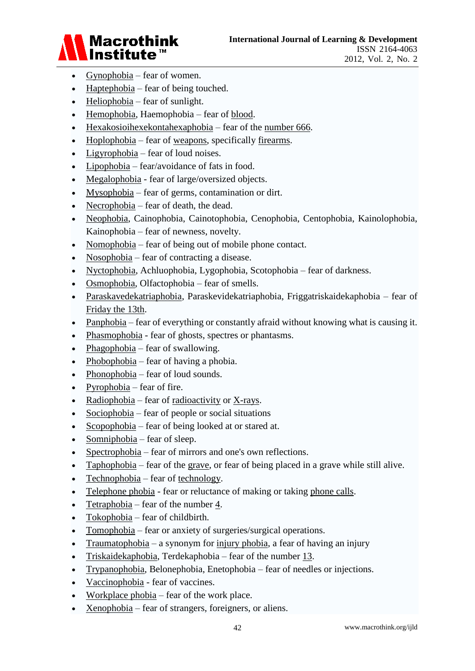

- [Gynophobia](http://en.wikipedia.org/wiki/Gynophobia) fear of women.
- [Haptephobia](http://en.wikipedia.org/wiki/Haptephobia) fear of being touched.
- $\bullet$  [Heliophobia](http://en.wikipedia.org/wiki/Heliophobia) fear of sunlight.
- [Hemophobia,](http://en.wikipedia.org/wiki/Hemophobia) Haemophobia fear of [blood.](http://en.wikipedia.org/wiki/Blood)
- $\cdot$  [Hexakosioihexekontahexaphobia](http://en.wikipedia.org/wiki/Hexakosioihexekontahexaphobia) fear of the [number 666.](http://en.wikipedia.org/wiki/Number_of_the_Beast)
- [Hoplophobia](http://en.wikipedia.org/wiki/Hoplophobia) fear of [weapons,](http://en.wikipedia.org/wiki/Weapon) specifically [firearms.](http://en.wikipedia.org/wiki/Firearm)
- [Ligyrophobia](http://en.wikipedia.org/wiki/Ligyrophobia) fear of loud noises.
- [Lipophobia](http://en.wikipedia.org/wiki/Lipophobia) fear/avoidance of fats in food.
- [Megalophobia](http://en.wikipedia.org/wiki/Megalophobia) fear of large/oversized objects.
- [Mysophobia](http://en.wikipedia.org/wiki/Mysophobia) fear of germs, contamination or dirt.
- [Necrophobia](http://en.wikipedia.org/wiki/Necrophobia) fear of death, the dead.
- [Neophobia,](http://en.wikipedia.org/wiki/Neophobia) Cainophobia, Cainotophobia, Cenophobia, Centophobia, Kainolophobia, Kainophobia – fear of newness, novelty.
- [Nomophobia](http://en.wikipedia.org/wiki/Nomophobia) fear of being out of mobile phone contact.
- [Nosophobia](http://en.wikipedia.org/wiki/Nosophobia) fear of contracting a disease.
- [Nyctophobia,](http://en.wikipedia.org/wiki/Nyctophobia) Achluophobia, Lygophobia, Scotophobia fear of darkness.
- [Osmophobia,](http://en.wikipedia.org/wiki/Osmophobia) Olfactophobia fear of smells.
- [Paraskavedekatriaphobia,](http://en.wikipedia.org/wiki/Paraskavedekatriaphobia) Paraskevidekatriaphobia, Friggatriskaidekaphobia fear of [Friday the 13th.](http://en.wikipedia.org/wiki/Friday_the_13th)
- [Panphobia](http://en.wikipedia.org/wiki/Panphobia) fear of everything or constantly afraid without knowing what is causing it.
- [Phasmophobia](http://en.wikipedia.org/wiki/Phasmophobia) fear of ghosts, spectres or phantasms.
- [Phagophobia](http://en.wikipedia.org/wiki/Phagophobia) fear of swallowing.
- [Phobophobia](http://en.wikipedia.org/wiki/Phobophobia) fear of having a phobia.
- [Phonophobia](http://en.wikipedia.org/wiki/Phonophobia) fear of loud sounds.
- [Pyrophobia](http://en.wikipedia.org/wiki/Pyrophobia) fear of fire.
- [Radiophobia](http://en.wikipedia.org/wiki/Radiophobia) fear of [radioactivity](http://en.wikipedia.org/wiki/Radioactivity) or [X-rays.](http://en.wikipedia.org/wiki/X-ray)
- $\bullet$  [Sociophobia](http://en.wikipedia.org/wiki/Social_phobia) fear of people or social situations
- [Scopophobia](http://en.wikipedia.org/wiki/Scopophobia) fear of being looked at or stared at.
- $\bullet$  [Somniphobia](http://en.wikipedia.org/wiki/Somniphobia) fear of sleep.
- [Spectrophobia](http://en.wikipedia.org/wiki/Spectrophobia) fear of mirrors and one's own reflections.
- [Taphophobia](http://en.wikipedia.org/wiki/Taphophobia) fear of the [grave,](http://en.wikipedia.org/wiki/Grave_(burial)) or fear of being placed in a grave while still alive.
- [Technophobia](http://en.wikipedia.org/wiki/Technophobia) fear of [technology.](http://en.wikipedia.org/wiki/Technology)
- [Telephone phobia](http://en.wikipedia.org/wiki/Telephone_phobia) fear or reluctance of making or taking [phone calls.](http://en.wikipedia.org/wiki/Phone_call)
- [Tetraphobia](http://en.wikipedia.org/wiki/Tetraphobia) fear of the number [4.](http://en.wikipedia.org/wiki/4_(number))
- $\bullet$  [Tokophobia](http://en.wikipedia.org/wiki/Tokophobia) fear of childbirth.
- [Tomophobia](http://en.wikipedia.org/wiki/Tomophobia) fear or anxiety of surgeries/surgical operations.
- [Traumatophobia](http://en.wikipedia.org/wiki/Traumatophobia) a synonym for [injury phobia,](http://en.wikipedia.org/wiki/Injury_phobia) a fear of having an injury
- [Triskaidekaphobia,](http://en.wikipedia.org/wiki/Triskaidekaphobia) Terdekaphobia fear of the number [13.](http://en.wikipedia.org/wiki/13_(number))
- [Trypanophobia,](http://en.wikipedia.org/wiki/Trypanophobia) Belonephobia, Enetophobia fear of needles or injections.
- [Vaccinophobia](http://en.wikipedia.org/wiki/Vaccinophobia) fear of vaccines.
- [Workplace phobia](http://en.wikipedia.org/wiki/Workplace_phobia) fear of the work place.
- [Xenophobia](http://en.wikipedia.org/wiki/Xenophobia) fear of strangers, foreigners, or aliens.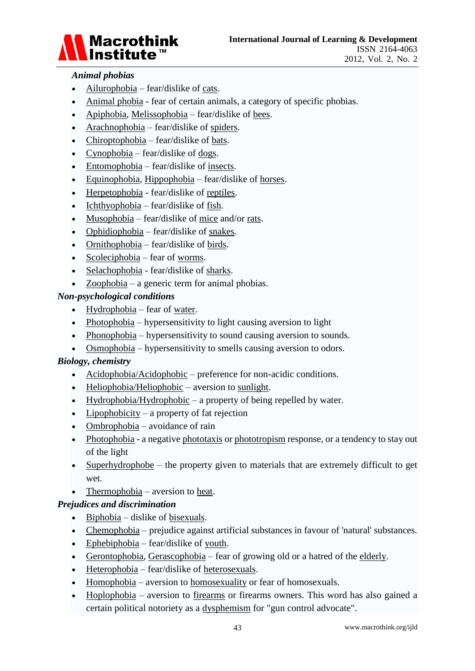

### *Animal phobias*

- [Ailurophobia](http://en.wikipedia.org/wiki/Ailurophobia) fear/dislike of [cats.](http://en.wikipedia.org/wiki/Cat)
- [Animal phobia](http://en.wikipedia.org/wiki/Animal_phobia) fear of certain animals, a category of specific phobias.
- [Apiphobia,](http://en.wikipedia.org/wiki/Apiphobia) [Melissophobia](http://en.wikipedia.org/wiki/Melissophobia) fear/dislike of [bees.](http://en.wikipedia.org/wiki/Bee)
- [Arachnophobia](http://en.wikipedia.org/wiki/Arachnophobia) fear/dislike of [spiders.](http://en.wikipedia.org/wiki/Spider)
- [Chiroptophobia](http://en.wikipedia.org/wiki/Chiroptophobia) fear/dislike of [bats.](http://en.wikipedia.org/wiki/Bat)
- [Cynophobia](http://en.wikipedia.org/wiki/Cynophobia) fear/dislike of [dogs.](http://en.wikipedia.org/wiki/Dog)
- [Entomophobia](http://en.wikipedia.org/wiki/Entomophobia) fear/dislike of [insects.](http://en.wikipedia.org/wiki/Insect)
- [Equinophobia,](http://en.wikipedia.org/wiki/Equinophobia) [Hippophobia](http://en.wikipedia.org/wiki/Hippophobia) fear/dislike of [horses.](http://en.wikipedia.org/wiki/Horse)
- [Herpetophobia](http://en.wikipedia.org/wiki/Herpetophobia) fear/dislike of [reptiles.](http://en.wikipedia.org/wiki/Reptile)
- $\bullet$  [Ichthyophobia](http://en.wikipedia.org/wiki/Ichthyophobia) fear/dislike of [fish.](http://en.wikipedia.org/wiki/Fish)
- [Musophobia](http://en.wikipedia.org/wiki/Musophobia) fear/dislike of [mice](http://en.wikipedia.org/wiki/Mouse) and/or [rats.](http://en.wikipedia.org/wiki/Rat)
- [Ophidiophobia](http://en.wikipedia.org/wiki/Ophidiophobia) fear/dislike of [snakes.](http://en.wikipedia.org/wiki/Snake)
- [Ornithophobia](http://en.wikipedia.org/wiki/Ornithophobia) fear/dislike of [birds.](http://en.wikipedia.org/wiki/Bird)
- $\bullet$  [Scoleciphobia](http://en.wikipedia.org/wiki/Scoleciphobia) fear of [worms.](http://en.wikipedia.org/wiki/Worm)
- [Selachophobia](http://en.wikipedia.org/wiki/Selachophobia) fear/dislike of [sharks.](http://en.wikipedia.org/wiki/Shark)
- [Zoophobia](http://en.wikipedia.org/wiki/Zoophobia) a generic term for animal phobias.

# *Non-psychological conditions*

- [Hydrophobia](http://en.wikipedia.org/wiki/Rabies) fear of [water.](http://en.wikipedia.org/wiki/Water)
- [Photophobia](http://en.wikipedia.org/wiki/Photophobia) hypersensitivity to light causing aversion to light
- [Phonophobia](http://en.wikipedia.org/wiki/Phonophobia) hypersensitivity to sound causing aversion to sounds.
- [Osmophobia](http://en.wikipedia.org/wiki/Osmophobia) hypersensitivity to smells causing aversion to odors.

# *Biology, chemistry*

- [Acidophobia/Acidophobic](http://en.wikipedia.org/wiki/Acidophobe) preference for non-acidic conditions.
- [Heliophobia/Heliophobic](http://en.wikipedia.org/wiki/Heliophobia) aversion to [sunlight.](http://en.wikipedia.org/wiki/Sun)
- $\bullet$  [Hydrophobia/Hydrophobic](http://en.wikipedia.org/wiki/Hydrophobe) a property of being repelled by water.
- [Lipophobicity](http://en.wikipedia.org/wiki/Lipophobicity) a property of fat rejection
- [Ombrophobia](http://en.wikipedia.org/wiki/Ombrophobia) avoidance of rain
- [Photophobia](http://en.wikipedia.org/wiki/Photophobia_(biology)) a negative [phototaxis](http://en.wikipedia.org/wiki/Phototaxis) or [phototropism](http://en.wikipedia.org/wiki/Phototropism) response, or a tendency to stay out of the light
- [Superhydrophobe](http://en.wikipedia.org/wiki/Superhydrophobe) the property given to materials that are extremely difficult to get wet.
- [Thermophobia](http://en.wikipedia.org/wiki/Thermophobia) aversion to [heat.](http://en.wikipedia.org/wiki/Heat)

# *Prejudices and discrimination*

- $\bullet$  [Biphobia](http://en.wikipedia.org/wiki/Biphobia) dislike of [bisexuals.](http://en.wikipedia.org/wiki/Bisexual)
- [Chemophobia](http://en.wikipedia.org/wiki/Chemophobia) prejudice against artificial substances in favour of 'natural' substances.
- [Ephebiphobia](http://en.wikipedia.org/wiki/Ephebiphobia) fear/dislike of [youth.](http://en.wikipedia.org/wiki/Youth)
- [Gerontophobia,](http://en.wikipedia.org/wiki/Gerontophobia) [Gerascophobia](http://en.wikipedia.org/wiki/Gerascophobia) fear of growing old or a hatred of the [elderly.](http://en.wikipedia.org/wiki/Elderly)
- [Heterophobia](http://en.wikipedia.org/wiki/Heterophobia) fear/dislike of [heterosexuals.](http://en.wikipedia.org/wiki/Heterosexual)
- [Homophobia](http://en.wikipedia.org/wiki/Homophobia) aversion to [homosexuality](http://en.wikipedia.org/wiki/Homosexuality) or fear of homosexuals.
- [Hoplophobia](http://en.wikipedia.org/wiki/Hoplophobia) aversion to [firearms](http://en.wikipedia.org/wiki/Firearms) or firearms owners. This word has also gained a certain political notoriety as a [dysphemism](http://en.wikipedia.org/wiki/Dysphemism) for "gun control advocate".